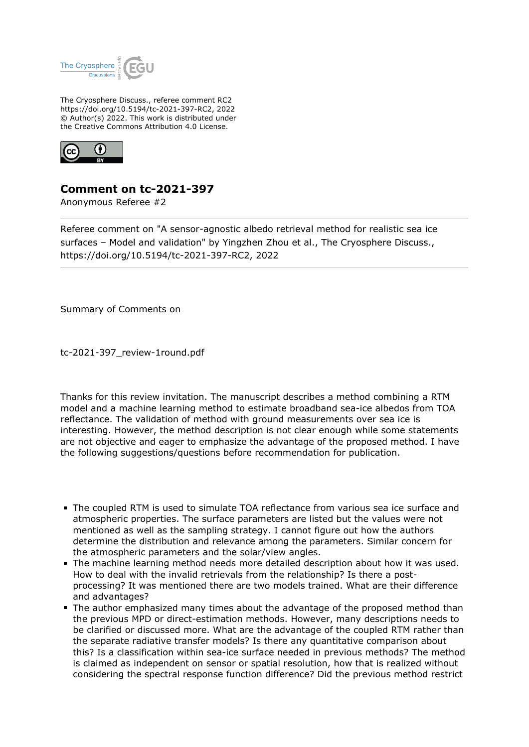

The Cryosphere Discuss., referee comment RC2 https://doi.org/10.5194/tc-2021-397-RC2, 2022 © Author(s) 2022. This work is distributed under the Creative Commons Attribution 4.0 License.



## **Comment on tc-2021-397**

Anonymous Referee #2

Referee comment on "A sensor-agnostic albedo retrieval method for realistic sea ice surfaces – Model and validation" by Yingzhen Zhou et al., The Cryosphere Discuss., https://doi.org/10.5194/tc-2021-397-RC2, 2022

Summary of Comments on

tc-2021-397\_review-1round.pdf

Thanks for this review invitation. The manuscript describes a method combining a RTM model and a machine learning method to estimate broadband sea-ice albedos from TOA reflectance. The validation of method with ground measurements over sea ice is interesting. However, the method description is not clear enough while some statements are not objective and eager to emphasize the advantage of the proposed method. I have the following suggestions/questions before recommendation for publication.

- The coupled RTM is used to simulate TOA reflectance from various sea ice surface and atmospheric properties. The surface parameters are listed but the values were not mentioned as well as the sampling strategy. I cannot figure out how the authors determine the distribution and relevance among the parameters. Similar concern for the atmospheric parameters and the solar/view angles.
- The machine learning method needs more detailed description about how it was used. How to deal with the invalid retrievals from the relationship? Is there a postprocessing? It was mentioned there are two models trained. What are their difference and advantages?
- The author emphasized many times about the advantage of the proposed method than the previous MPD or direct-estimation methods. However, many descriptions needs to be clarified or discussed more. What are the advantage of the coupled RTM rather than the separate radiative transfer models? Is there any quantitative comparison about this? Is a classification within sea-ice surface needed in previous methods? The method is claimed as independent on sensor or spatial resolution, how that is realized without considering the spectral response function difference? Did the previous method restrict